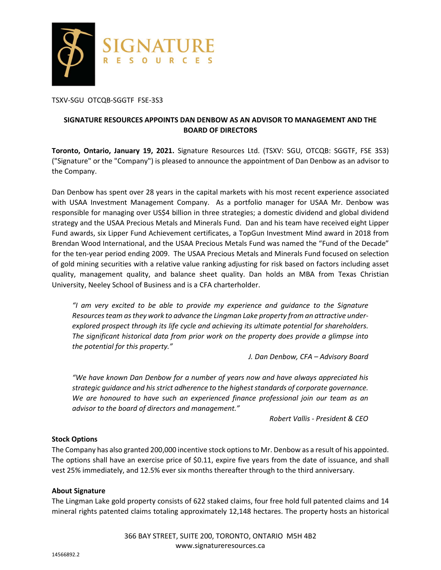

TSXV-SGU OTCQB-SGGTF FSE-3S3

# **SIGNATURE RESOURCES APPOINTS DAN DENBOW AS AN ADVISOR TO MANAGEMENT AND THE BOARD OF DIRECTORS**

**Toronto, Ontario, January 19, 2021.** Signature Resources Ltd. (TSXV: SGU, OTCQB: SGGTF, FSE 3S3) ("Signature" or the "Company") is pleased to announce the appointment of Dan Denbow as an advisor to the Company.

Dan Denbow has spent over 28 years in the capital markets with his most recent experience associated with USAA Investment Management Company. As a portfolio manager for USAA Mr. Denbow was responsible for managing over US\$4 billion in three strategies; a domestic dividend and global dividend strategy and the USAA Precious Metals and Minerals Fund. Dan and his team have received eight Lipper Fund awards, six Lipper Fund Achievement certificates, a TopGun Investment Mind award in 2018 from Brendan Wood International, and the USAA Precious Metals Fund was named the "Fund of the Decade" for the ten-year period ending 2009. The USAA Precious Metals and Minerals Fund focused on selection of gold mining securities with a relative value ranking adjusting for risk based on factors including asset quality, management quality, and balance sheet quality. Dan holds an MBA from Texas Christian University, Neeley School of Business and is a CFA charterholder.

*"I am very excited to be able to provide my experience and guidance to the Signature Resources team as they work to advance the Lingman Lake property from an attractive underexplored prospect through its life cycle and achieving its ultimate potential for shareholders. The significant historical data from prior work on the property does provide a glimpse into the potential for this property."* 

*J. Dan Denbow, CFA – Advisory Board* 

*"We have known Dan Denbow for a number of years now and have always appreciated his strategic guidance and his strict adherence to the highest standards of corporate governance. We are honoured to have such an experienced finance professional join our team as an advisor to the board of directors and management."* 

*Robert Vallis - President & CEO* 

### **Stock Options**

The Company has also granted 200,000 incentive stock options to Mr. Denbow as a result of his appointed. The options shall have an exercise price of \$0.11, expire five years from the date of issuance, and shall vest 25% immediately, and 12.5% ever six months thereafter through to the third anniversary.

### **About Signature**

The Lingman Lake gold property consists of 622 staked claims, four free hold full patented claims and 14 mineral rights patented claims totaling approximately 12,148 hectares. The property hosts an historical

> 366 BAY STREET, SUITE 200, TORONTO, ONTARIO M5H 4B2 www.signatureresources.ca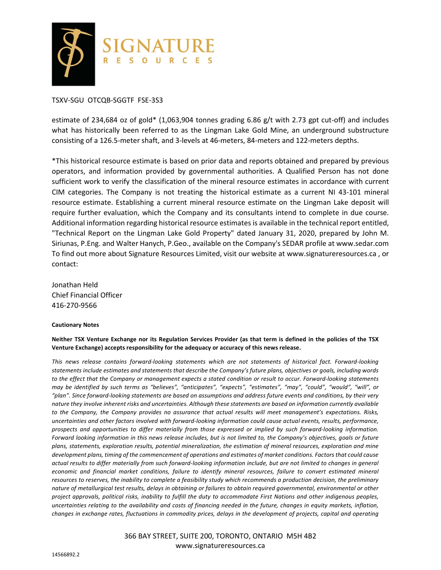

#### TSXV-SGU OTCQB-SGGTF FSE-3S3

estimate of 234,684 oz of gold\* (1,063,904 tonnes grading 6.86 g/t with 2.73 gpt cut-off) and includes what has historically been referred to as the Lingman Lake Gold Mine, an underground substructure consisting of a 126.5-meter shaft, and 3-levels at 46-meters, 84-meters and 122-meters depths.

\*This historical resource estimate is based on prior data and reports obtained and prepared by previous operators, and information provided by governmental authorities. A Qualified Person has not done sufficient work to verify the classification of the mineral resource estimates in accordance with current CIM categories. The Company is not treating the historical estimate as a current NI 43-101 mineral resource estimate. Establishing a current mineral resource estimate on the Lingman Lake deposit will require further evaluation, which the Company and its consultants intend to complete in due course. Additional information regarding historical resource estimates is available in the technical report entitled, "Technical Report on the Lingman Lake Gold Property" dated January 31, 2020, prepared by John M. Siriunas, P.Eng. and Walter Hanych, P.Geo., available on the Company's SEDAR profile at www.sedar.com To find out more about Signature Resources Limited, visit our website at www.signatureresources.ca , or contact:

Jonathan Held Chief Financial Officer 416-270-9566

#### **Cautionary Notes**

**Neither TSX Venture Exchange nor its Regulation Services Provider (as that term is defined in the policies of the TSX Venture Exchange) accepts responsibility for the adequacy or accuracy of this news release.**

*This news release contains forward-looking statements which are not statements of historical fact. Forward-looking statements include estimates and statements that describe the Company's future plans, objectives or goals, including words to the effect that the Company or management expects a stated condition or result to occur. Forward-looking statements may be identified by such terms as "believes", "anticipates", "expects", "estimates", "may", "could", "would", "will", or "plan". Since forward-looking statements are based on assumptions and address future events and conditions, by their very nature they involve inherent risks and uncertainties. Although these statements are based on information currently available to the Company, the Company provides no assurance that actual results will meet management's expectations. Risks, uncertainties and other factors involved with forward-looking information could cause actual events, results, performance, prospects and opportunities to differ materially from those expressed or implied by such forward-looking information. Forward looking information in this news release includes, but is not limited to, the Company's objectives, goals or future plans, statements, exploration results, potential mineralization, the estimation of mineral resources, exploration and mine development plans, timing of the commencement of operations and estimates of market conditions. Factors that could cause actual results to differ materially from such forward-looking information include, but are not limited to changes in general economic and financial market conditions, failure to identify mineral resources, failure to convert estimated mineral resources to reserves, the inability to complete a feasibility study which recommends a production decision, the preliminary nature of metallurgical test results, delays in obtaining or failures to obtain required governmental, environmental or other project approvals, political risks, inability to fulfill the duty to accommodate First Nations and other indigenous peoples, uncertainties relating to the availability and costs of financing needed in the future, changes in equity markets, inflation, changes in exchange rates, fluctuations in commodity prices, delays in the development of projects, capital and operating* 

> 366 BAY STREET, SUITE 200, TORONTO, ONTARIO M5H 4B2 www.signatureresources.ca